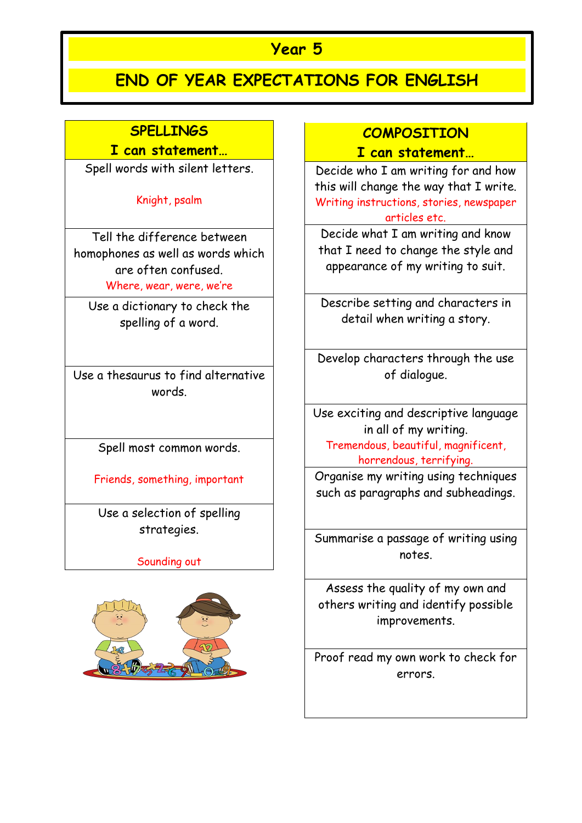## **Year 5**

# **END OF YEAR EXPECTATIONS FOR ENGLISH**

## **SPELLINGS**

#### **I can statement…**

Spell words with silent letters.

Knight, psalm

Tell the difference between homophones as well as words which are often confused. Where, wear, were, we're

Use a dictionary to check the spelling of a word.

Use a thesaurus to find alternative words.

Spell most common words.

Friends, something, important

Use a selection of spelling strategies.

Sounding out



## **COMPOSITION**

#### **I can statement…**

Decide who I am writing for and how this will change the way that I write. Writing instructions, stories, newspaper articles etc.

Decide what I am writing and know that I need to change the style and appearance of my writing to suit.

Describe setting and characters in detail when writing a story.

Develop characters through the use of dialogue.

Use exciting and descriptive language in all of my writing. Tremendous, beautiful, magnificent, horrendous, terrifying.

Organise my writing using techniques such as paragraphs and subheadings.

Summarise a passage of writing using notes.

Assess the quality of my own and others writing and identify possible improvements.

Proof read my own work to check for errors.